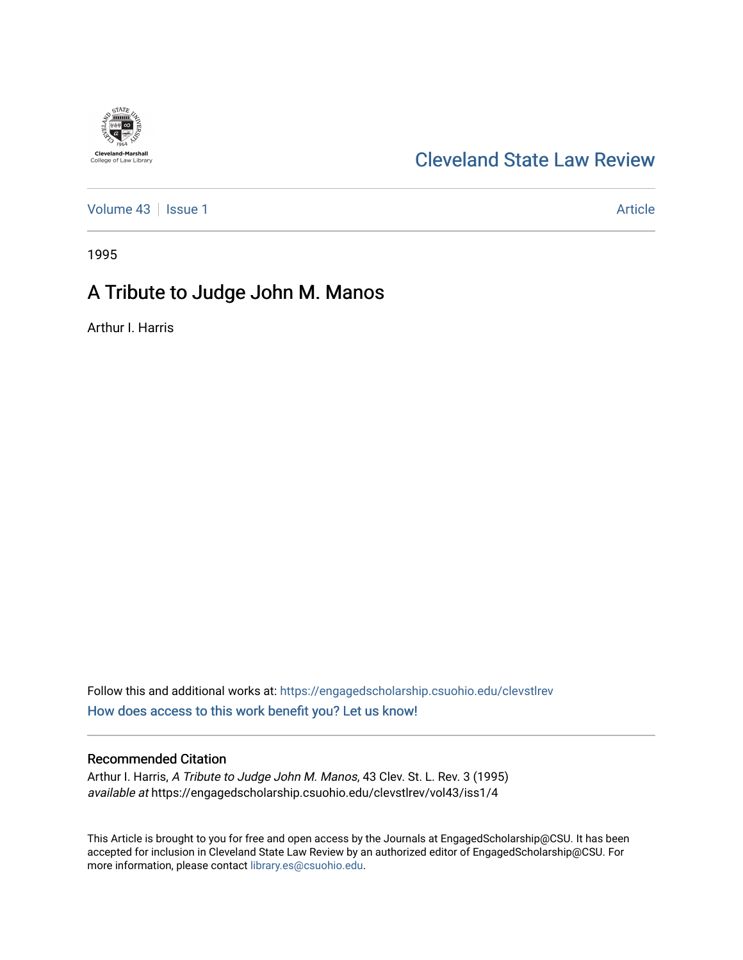# **Cleveland-Marshall**<br>College of Law Library

## [Cleveland State Law Review](https://engagedscholarship.csuohio.edu/clevstlrev)

[Volume 43](https://engagedscholarship.csuohio.edu/clevstlrev/vol43) | [Issue 1](https://engagedscholarship.csuohio.edu/clevstlrev/vol43/iss1) Article

1995

## A Tribute to Judge John M. Manos

Arthur I. Harris

Follow this and additional works at: [https://engagedscholarship.csuohio.edu/clevstlrev](https://engagedscholarship.csuohio.edu/clevstlrev?utm_source=engagedscholarship.csuohio.edu%2Fclevstlrev%2Fvol43%2Fiss1%2F4&utm_medium=PDF&utm_campaign=PDFCoverPages) [How does access to this work benefit you? Let us know!](http://library.csuohio.edu/engaged/)

#### Recommended Citation

Arthur I. Harris, A Tribute to Judge John M. Manos, 43 Clev. St. L. Rev. 3 (1995) available at https://engagedscholarship.csuohio.edu/clevstlrev/vol43/iss1/4

This Article is brought to you for free and open access by the Journals at EngagedScholarship@CSU. It has been accepted for inclusion in Cleveland State Law Review by an authorized editor of EngagedScholarship@CSU. For more information, please contact [library.es@csuohio.edu](mailto:library.es@csuohio.edu).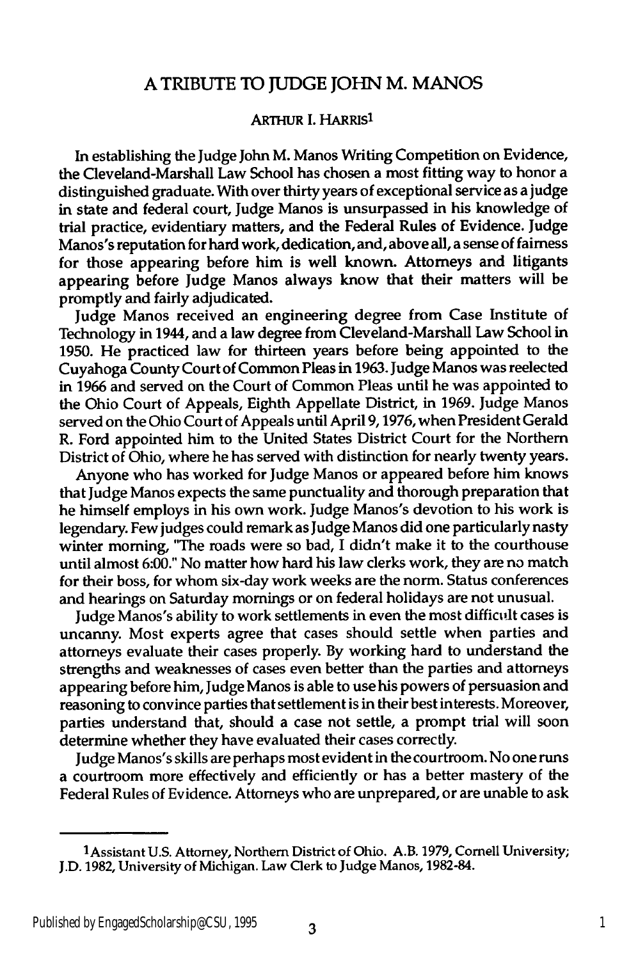### **A** TRIBUTE TO **JUDGE** JOHN M. **MANOS**

#### ARTHUR I. HARRIS<sup>1</sup>

In establishing the Judge John M. Manos Writing Competition on Evidence, the Cleveland-Marshall Law School has chosen a most fitting way to honor a distinguished graduate. With over thirty years of exceptional service as ajudge in state and federal court, Judge Manos is unsurpassed in his knowledge of trial practice, evidentiary matters, and the Federal Rules of Evidence. Judge Manos's reputation for hard work, dedication, and, above all, a sense of fairness for those appearing before him is well known. Attorneys and litigants appearing before Judge Manos always know that their matters will be promptly and fairly adjudicated.

Judge Manos received an engineering degree from Case Institute of Technology in 1944, and a law degree from Cleveland-Marshall Law School in **1950.** He practiced law for thirteen years before being appointed to the Cuyahoga County Court of Common Pleas in **1963.** Judge Manos was reelected in **1966** and served on the Court of Common Pleas until he was appointed to the Ohio Court of Appeals, Eighth Appellate District, in **1969.** Judge Manos served on the Ohio Court of Appeals until April **9,1976,** when President Gerald R. Ford appointed him to the United States District Court for the Northern District of Ohio, where he has served with distinction for nearly twenty years.

Anyone who has worked for Judge Manos or appeared before him knows that Judge Manos expects the same punctuality and thorough preparation that he himself employs in his own work. Judge Manos's devotion to his work is legendary. Few judges could remark as Judge Manos did one particularly nasty winter morning, "The roads were so bad, **I** didn't make it to the courthouse until almost **6:00."** No matter how hard his law clerks work, they are no match for their boss, for whom six-day work weeks are the norm. Status conferences and hearings on Saturday mornings or on federal holidays are not unusual.

Judge Manos's ability to work settlements in even the most difficult cases is uncanny. Most experts agree that cases should settle when parties and attorneys evaluate their cases properly. **By** working hard to understand the strengths and weaknesses of cases even better than the parties and attorneys appearing before him, Judge Manos is able to use his powers of persuasion and reasoning to convince parties that settlement is in their best interests. Moreover, parties understand that, should a case not settle, a prompt trial will soon determine whether they have evaluated their cases correctly.

Judge Manos's skills are perhaps most evident in the courtroom. No one runs a courtroom more effectively and efficiently or has a better mastery of the Federal Rules of Evidence. Attorneys who are unprepared, or are unable to ask

<sup>1</sup>Assistant **U.S.** Attorney, Northern District of Ohio. A.B. **1979,** Cornell University; **J.D. 1982,** University of Michigan. Law Clerk to Judge Manos, **1982-84.**